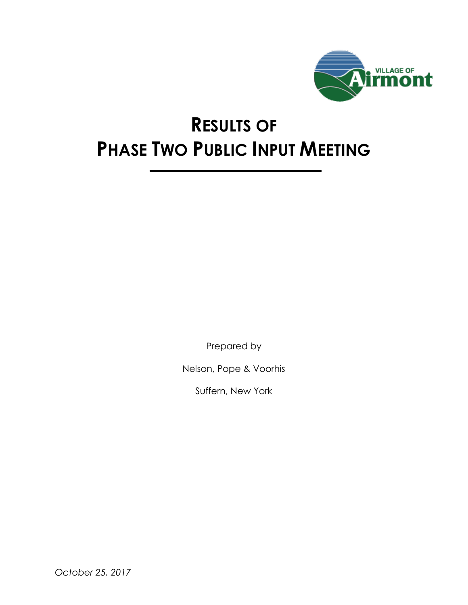

## **RESULTS OF PHASE TWO PUBLIC INPUT MEETING**

Prepared by

Nelson, Pope & Voorhis

Suffern, New York

*October 25, 2017*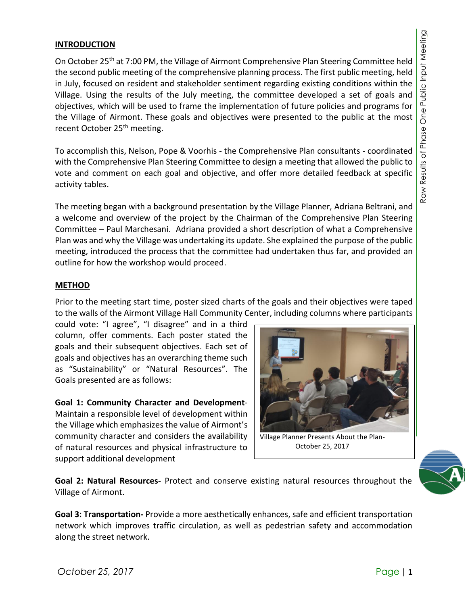## **INTRODUCTION**

On October 25<sup>th</sup> at 7:00 PM, the Village of Airmont Comprehensive Plan Steering Committee held the second public meeting of the comprehensive planning process. The first public meeting, held in July, focused on resident and stakeholder sentiment regarding existing conditions within the Village. Using the results of the July meeting, the committee developed a set of goals and objectives, which will be used to frame the implementation of future policies and programs for the Village of Airmont. These goals and objectives were presented to the public at the most recent October 25<sup>th</sup> meeting.

To accomplish this, Nelson, Pope & Voorhis - the Comprehensive Plan consultants - coordinated with the Comprehensive Plan Steering Committee to design a meeting that allowed the public to vote and comment on each goal and objective, and offer more detailed feedback at specific activity tables.

The meeting began with a background presentation by the Village Planner, Adriana Beltrani, and a welcome and overview of the project by the Chairman of the Comprehensive Plan Steering Committee – Paul Marchesani. Adriana provided a short description of what a Comprehensive Plan was and why the Village was undertaking its update. She explained the purpose of the public meeting, introduced the process that the committee had undertaken thus far, and provided an outline for how the workshop would proceed.

## **METHOD**

Prior to the meeting start time, poster sized charts of the goals and their objectives were taped to the walls of the Airmont Village Hall Community Center, including columns where participants

could vote: "I agree", "I disagree" and in a third column, offer comments. Each poster stated the goals and their subsequent objectives. Each set of goals and objectives has an overarching theme such as "Sustainability" or "Natural Resources". The Goals presented are as follows:

**Goal 1: Community Character and Development**-Maintain a responsible level of development within the Village which emphasizes the value of Airmont's community character and considers the availability of natural resources and physical infrastructure to support additional development



Village Planner Presents About the Plan-October 25, 2017

**Goal 2: Natural Resources-** Protect and conserve existing natural resources throughout the Village of Airmont.

**Goal 3: Transportation-** Provide a more aesthetically enhances, safe and efficient transportation network which improves traffic circulation, as well as pedestrian safety and accommodation along the street network.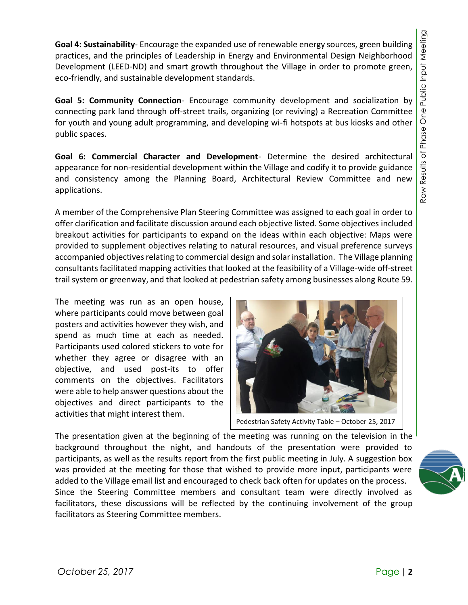**Goal 4: Sustainability**- Encourage the expanded use of renewable energy sources, green building practices, and the principles of Leadership in Energy and Environmental Design Neighborhood Development (LEED-ND) and smart growth throughout the Village in order to promote green, eco-friendly, and sustainable development standards.

**Goal 5: Community Connection**- Encourage community development and socialization by connecting park land through off-street trails, organizing (or reviving) a Recreation Committee for youth and young adult programming, and developing wi-fi hotspots at bus kiosks and other public spaces.

**Goal 6: Commercial Character and Development**- Determine the desired architectural appearance for non-residential development within the Village and codify it to provide guidance and consistency among the Planning Board, Architectural Review Committee and new applications.

A member of the Comprehensive Plan Steering Committee was assigned to each goal in order to offer clarification and facilitate discussion around each objective listed. Some objectives included breakout activities for participants to expand on the ideas within each objective: Maps were provided to supplement objectives relating to natural resources, and visual preference surveys accompanied objectives relating to commercial design and solar installation. The Village planning consultants facilitated mapping activities that looked at the feasibility of a Village-wide off-street trail system or greenway, and that looked at pedestrian safety among businesses along Route 59.

The meeting was run as an open house, where participants could move between goal posters and activities however they wish, and spend as much time at each as needed. Participants used colored stickers to vote for whether they agree or disagree with an objective, and used post-its to offer comments on the objectives. Facilitators were able to help answer questions about the objectives and direct participants to the activities that might interest them.



Pedestrian Safety Activity Table – October 25, 2017

The presentation given at the beginning of the meeting was running on the television in the background throughout the night, and handouts of the presentation were provided to participants, as well as the results report from the first public meeting in July. A suggestion box was provided at the meeting for those that wished to provide more input, participants were added to the Village email list and encouraged to check back often for updates on the process. Since the Steering Committee members and consultant team were directly involved as facilitators, these discussions will be reflected by the continuing involvement of the group facilitators as Steering Committee members.